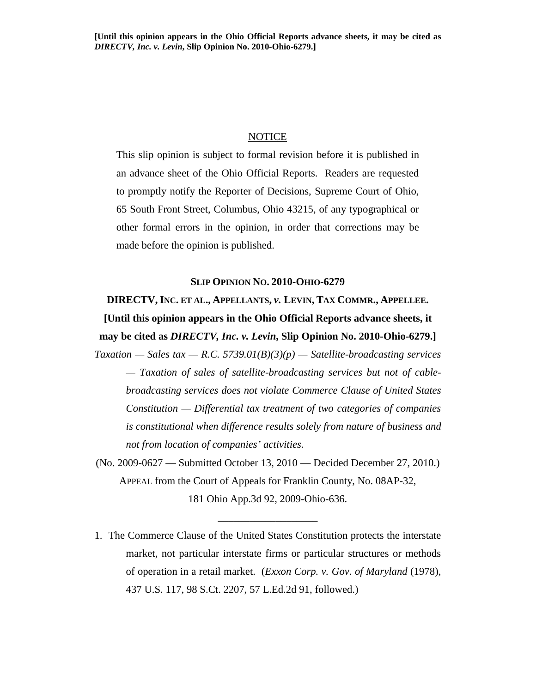# **NOTICE**

This slip opinion is subject to formal revision before it is published in an advance sheet of the Ohio Official Reports. Readers are requested to promptly notify the Reporter of Decisions, Supreme Court of Ohio, 65 South Front Street, Columbus, Ohio 43215, of any typographical or other formal errors in the opinion, in order that corrections may be made before the opinion is published.

# **SLIP OPINION NO. 2010-OHIO-6279**

**DIRECTV, INC. ET AL., APPELLANTS,** *v.* **LEVIN, TAX COMMR., APPELLEE. [Until this opinion appears in the Ohio Official Reports advance sheets, it may be cited as** *DIRECTV, Inc. v. Levin***, Slip Opinion No. 2010-Ohio-6279.]** 

 $Taxation - Sales tax - R.C. 5739.01(B)(3)(p) - Satellite-broadcasting services$ *— Taxation of sales of satellite-broadcasting services but not of cablebroadcasting services does not violate Commerce Clause of United States Constitution — Differential tax treatment of two categories of companies is constitutional when difference results solely from nature of business and not from location of companies' activities.*

(No. 2009-0627 — Submitted October 13, 2010 — Decided December 27, 2010.) APPEAL from the Court of Appeals for Franklin County, No. 08AP-32, 181 Ohio App.3d 92, 2009-Ohio-636.

\_\_\_\_\_\_\_\_\_\_\_\_\_\_\_\_\_\_\_

1. The Commerce Clause of the United States Constitution protects the interstate market, not particular interstate firms or particular structures or methods of operation in a retail market. (*Exxon Corp. v. Gov. of Maryland* (1978), 437 U.S. 117, 98 S.Ct. 2207, 57 L.Ed.2d 91, followed.)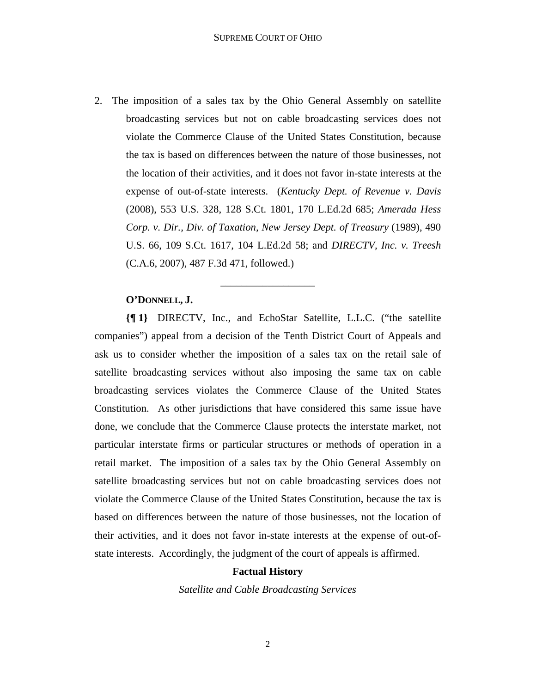2. The imposition of a sales tax by the Ohio General Assembly on satellite broadcasting services but not on cable broadcasting services does not violate the Commerce Clause of the United States Constitution, because the tax is based on differences between the nature of those businesses, not the location of their activities, and it does not favor in-state interests at the expense of out-of-state interests. (*Kentucky Dept. of Revenue v. Davis* (2008), 553 U.S. 328, 128 S.Ct. 1801, 170 L.Ed.2d 685; *Amerada Hess Corp. v. Dir., Div. of Taxation, New Jersey Dept. of Treasury* (1989), 490 U.S. 66, 109 S.Ct. 1617, 104 L.Ed.2d 58; and *DIRECTV, Inc. v. Treesh* (C.A.6, 2007), 487 F.3d 471, followed.)

\_\_\_\_\_\_\_\_\_\_\_\_\_\_\_\_\_\_

# **O'DONNELL, J.**

**{¶ 1}** DIRECTV, Inc., and EchoStar Satellite, L.L.C. ("the satellite companies") appeal from a decision of the Tenth District Court of Appeals and ask us to consider whether the imposition of a sales tax on the retail sale of satellite broadcasting services without also imposing the same tax on cable broadcasting services violates the Commerce Clause of the United States Constitution. As other jurisdictions that have considered this same issue have done, we conclude that the Commerce Clause protects the interstate market, not particular interstate firms or particular structures or methods of operation in a retail market. The imposition of a sales tax by the Ohio General Assembly on satellite broadcasting services but not on cable broadcasting services does not violate the Commerce Clause of the United States Constitution, because the tax is based on differences between the nature of those businesses, not the location of their activities, and it does not favor in-state interests at the expense of out-ofstate interests. Accordingly, the judgment of the court of appeals is affirmed.

#### **Factual History**

*Satellite and Cable Broadcasting Services*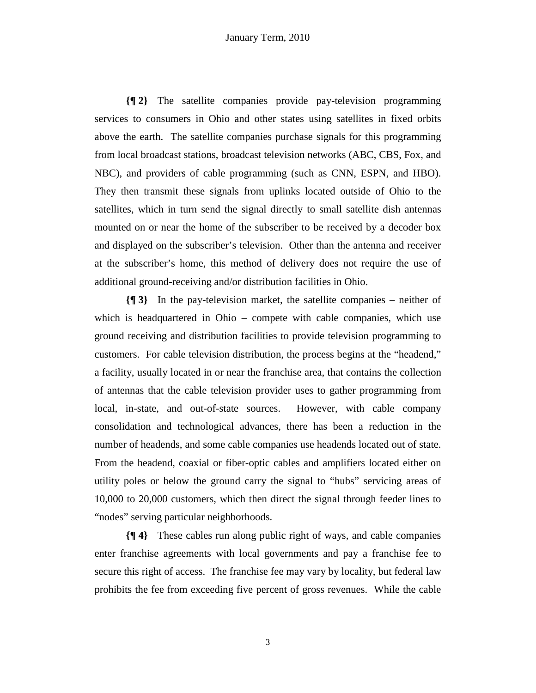**{¶ 2}** The satellite companies provide pay-television programming services to consumers in Ohio and other states using satellites in fixed orbits above the earth. The satellite companies purchase signals for this programming from local broadcast stations, broadcast television networks (ABC, CBS, Fox, and NBC), and providers of cable programming (such as CNN, ESPN, and HBO). They then transmit these signals from uplinks located outside of Ohio to the satellites, which in turn send the signal directly to small satellite dish antennas mounted on or near the home of the subscriber to be received by a decoder box and displayed on the subscriber's television. Other than the antenna and receiver at the subscriber's home, this method of delivery does not require the use of additional ground-receiving and/or distribution facilities in Ohio.

**{¶ 3}** In the pay-television market, the satellite companies – neither of which is headquartered in Ohio – compete with cable companies, which use ground receiving and distribution facilities to provide television programming to customers. For cable television distribution, the process begins at the "headend," a facility, usually located in or near the franchise area, that contains the collection of antennas that the cable television provider uses to gather programming from local, in-state, and out-of-state sources. However, with cable company consolidation and technological advances, there has been a reduction in the number of headends, and some cable companies use headends located out of state. From the headend, coaxial or fiber-optic cables and amplifiers located either on utility poles or below the ground carry the signal to "hubs" servicing areas of 10,000 to 20,000 customers, which then direct the signal through feeder lines to "nodes" serving particular neighborhoods.

**{¶ 4}** These cables run along public right of ways, and cable companies enter franchise agreements with local governments and pay a franchise fee to secure this right of access. The franchise fee may vary by locality, but federal law prohibits the fee from exceeding five percent of gross revenues. While the cable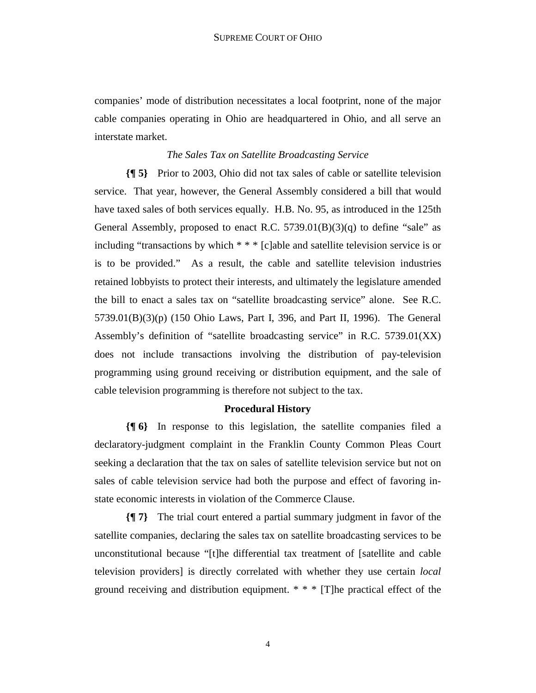companies' mode of distribution necessitates a local footprint, none of the major cable companies operating in Ohio are headquartered in Ohio, and all serve an interstate market.

# *The Sales Tax on Satellite Broadcasting Service*

**{¶ 5}** Prior to 2003, Ohio did not tax sales of cable or satellite television service. That year, however, the General Assembly considered a bill that would have taxed sales of both services equally. H.B. No. 95, as introduced in the 125th General Assembly, proposed to enact R.C. 5739.01(B)(3)(q) to define "sale" as including "transactions by which \* \* \* [c]able and satellite television service is or is to be provided." As a result, the cable and satellite television industries retained lobbyists to protect their interests, and ultimately the legislature amended the bill to enact a sales tax on "satellite broadcasting service" alone. See R.C. 5739.01(B)(3)(p) (150 Ohio Laws, Part I, 396, and Part II, 1996). The General Assembly's definition of "satellite broadcasting service" in R.C. 5739.01(XX) does not include transactions involving the distribution of pay-television programming using ground receiving or distribution equipment, and the sale of cable television programming is therefore not subject to the tax.

# **Procedural History**

**{¶ 6}** In response to this legislation, the satellite companies filed a declaratory-judgment complaint in the Franklin County Common Pleas Court seeking a declaration that the tax on sales of satellite television service but not on sales of cable television service had both the purpose and effect of favoring instate economic interests in violation of the Commerce Clause.

**{¶ 7}** The trial court entered a partial summary judgment in favor of the satellite companies, declaring the sales tax on satellite broadcasting services to be unconstitutional because "[t]he differential tax treatment of [satellite and cable television providers] is directly correlated with whether they use certain *local* ground receiving and distribution equipment. \* \* \* [T]he practical effect of the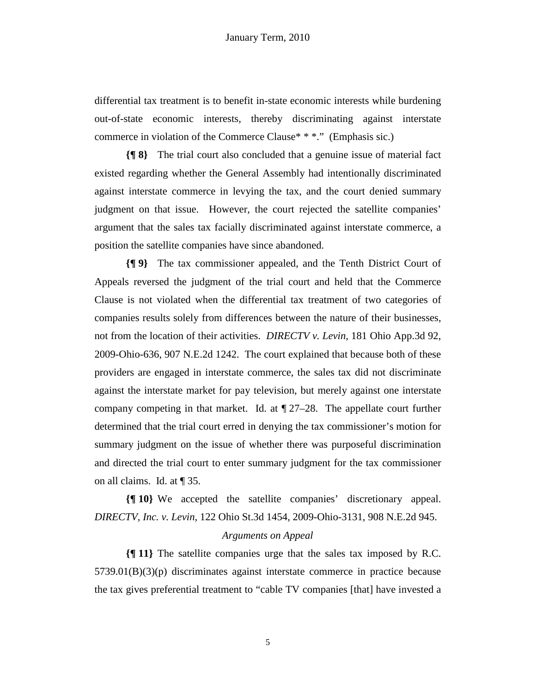differential tax treatment is to benefit in-state economic interests while burdening out-of-state economic interests, thereby discriminating against interstate commerce in violation of the Commerce Clause\* \* \*." (Emphasis sic.)

**{¶ 8}** The trial court also concluded that a genuine issue of material fact existed regarding whether the General Assembly had intentionally discriminated against interstate commerce in levying the tax, and the court denied summary judgment on that issue. However, the court rejected the satellite companies' argument that the sales tax facially discriminated against interstate commerce, a position the satellite companies have since abandoned.

**{¶ 9}** The tax commissioner appealed, and the Tenth District Court of Appeals reversed the judgment of the trial court and held that the Commerce Clause is not violated when the differential tax treatment of two categories of companies results solely from differences between the nature of their businesses, not from the location of their activities. *DIRECTV v. Levin*, 181 Ohio App.3d 92, 2009-Ohio-636, 907 N.E.2d 1242. The court explained that because both of these providers are engaged in interstate commerce, the sales tax did not discriminate against the interstate market for pay television, but merely against one interstate company competing in that market. Id. at  $\sqrt{27-28}$ . The appellate court further determined that the trial court erred in denying the tax commissioner's motion for summary judgment on the issue of whether there was purposeful discrimination and directed the trial court to enter summary judgment for the tax commissioner on all claims. Id. at ¶ 35.

**{¶ 10}** We accepted the satellite companies' discretionary appeal. *DIRECTV, Inc. v. Levin*, 122 Ohio St.3d 1454, 2009-Ohio-3131, 908 N.E.2d 945.

# *Arguments on Appeal*

**{¶ 11}** The satellite companies urge that the sales tax imposed by R.C. 5739.01(B)(3)(p) discriminates against interstate commerce in practice because the tax gives preferential treatment to "cable TV companies [that] have invested a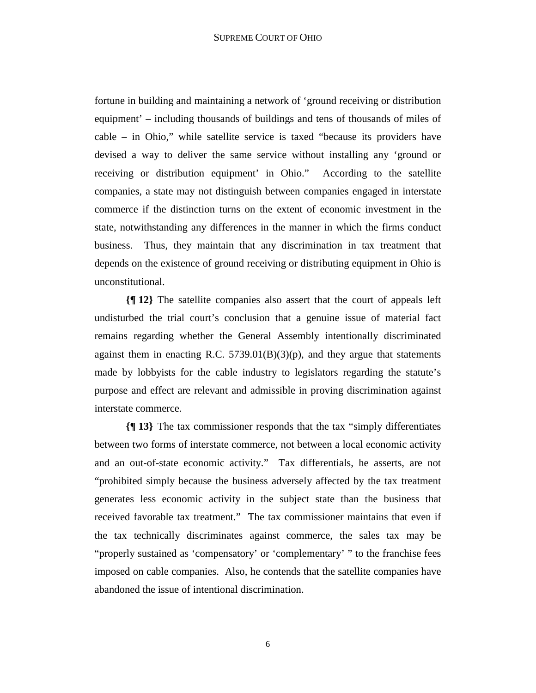fortune in building and maintaining a network of 'ground receiving or distribution equipment' – including thousands of buildings and tens of thousands of miles of cable – in Ohio," while satellite service is taxed "because its providers have devised a way to deliver the same service without installing any 'ground or receiving or distribution equipment' in Ohio." According to the satellite companies, a state may not distinguish between companies engaged in interstate commerce if the distinction turns on the extent of economic investment in the state, notwithstanding any differences in the manner in which the firms conduct business. Thus, they maintain that any discrimination in tax treatment that depends on the existence of ground receiving or distributing equipment in Ohio is unconstitutional.

**{¶ 12}** The satellite companies also assert that the court of appeals left undisturbed the trial court's conclusion that a genuine issue of material fact remains regarding whether the General Assembly intentionally discriminated against them in enacting R.C.  $5739.01(B)(3)(p)$ , and they argue that statements made by lobbyists for the cable industry to legislators regarding the statute's purpose and effect are relevant and admissible in proving discrimination against interstate commerce.

**{¶ 13}** The tax commissioner responds that the tax "simply differentiates between two forms of interstate commerce, not between a local economic activity and an out-of-state economic activity." Tax differentials, he asserts, are not "prohibited simply because the business adversely affected by the tax treatment generates less economic activity in the subject state than the business that received favorable tax treatment." The tax commissioner maintains that even if the tax technically discriminates against commerce, the sales tax may be "properly sustained as 'compensatory' or 'complementary' " to the franchise fees imposed on cable companies. Also, he contends that the satellite companies have abandoned the issue of intentional discrimination.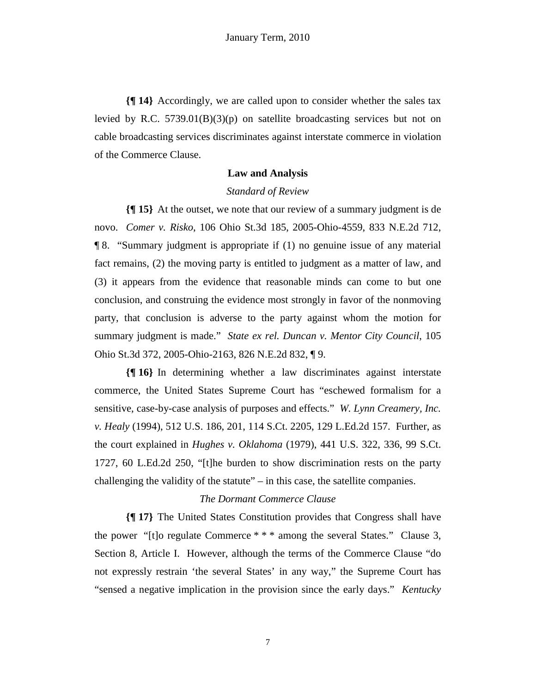**{¶ 14}** Accordingly, we are called upon to consider whether the sales tax levied by R.C.  $5739.01(B)(3)(p)$  on satellite broadcasting services but not on cable broadcasting services discriminates against interstate commerce in violation of the Commerce Clause.

# **Law and Analysis**

# *Standard of Review*

**{¶ 15}** At the outset, we note that our review of a summary judgment is de novo. *Comer v. Risko*, 106 Ohio St.3d 185, 2005-Ohio-4559, 833 N.E.2d 712, ¶ 8. "Summary judgment is appropriate if (1) no genuine issue of any material fact remains, (2) the moving party is entitled to judgment as a matter of law, and (3) it appears from the evidence that reasonable minds can come to but one conclusion, and construing the evidence most strongly in favor of the nonmoving party, that conclusion is adverse to the party against whom the motion for summary judgment is made." *State ex rel. Duncan v. Mentor City Council*, 105 Ohio St.3d 372, 2005-Ohio-2163, 826 N.E.2d 832, ¶ 9.

**{¶ 16}** In determining whether a law discriminates against interstate commerce, the United States Supreme Court has "eschewed formalism for a sensitive, case-by-case analysis of purposes and effects." *W. Lynn Creamery, Inc. v. Healy* (1994), 512 U.S. 186, 201, 114 S.Ct. 2205, 129 L.Ed.2d 157. Further, as the court explained in *Hughes v. Oklahoma* (1979), 441 U.S. 322, 336, 99 S.Ct. 1727, 60 L.Ed.2d 250, "[t]he burden to show discrimination rests on the party challenging the validity of the statute" – in this case, the satellite companies.

# *The Dormant Commerce Clause*

**{¶ 17}** The United States Constitution provides that Congress shall have the power "[t]o regulate Commerce \* \* \* among the several States." Clause 3, Section 8, Article I. However, although the terms of the Commerce Clause "do not expressly restrain 'the several States' in any way," the Supreme Court has "sensed a negative implication in the provision since the early days." *Kentucky*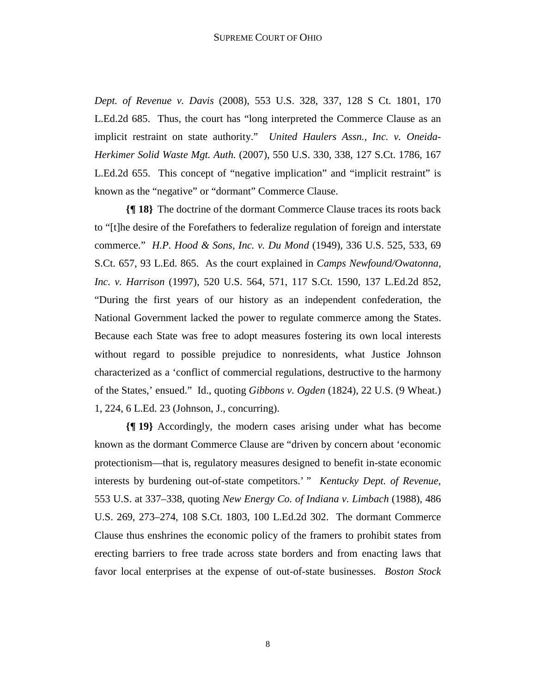*Dept. of Revenue v. Davis* (2008), 553 U.S. 328, 337, 128 S Ct. 1801, 170 L.Ed.2d 685. Thus, the court has "long interpreted the Commerce Clause as an implicit restraint on state authority." *United Haulers Assn., Inc. v. Oneida-Herkimer Solid Waste Mgt. Auth.* (2007), 550 U.S. 330, 338, 127 S.Ct. 1786, 167 L.Ed.2d 655. This concept of "negative implication" and "implicit restraint" is known as the "negative" or "dormant" Commerce Clause.

**{¶ 18}** The doctrine of the dormant Commerce Clause traces its roots back to "[t]he desire of the Forefathers to federalize regulation of foreign and interstate commerce." *H.P. Hood & Sons, Inc. v. Du Mond* (1949), 336 U.S. 525, 533, 69 S.Ct. 657, 93 L.Ed. 865. As the court explained in *Camps Newfound/Owatonna, Inc. v. Harrison* (1997), 520 U.S. 564, 571, 117 S.Ct. 1590, 137 L.Ed.2d 852, "During the first years of our history as an independent confederation, the National Government lacked the power to regulate commerce among the States. Because each State was free to adopt measures fostering its own local interests without regard to possible prejudice to nonresidents, what Justice Johnson characterized as a 'conflict of commercial regulations, destructive to the harmony of the States,' ensued." Id., quoting *Gibbons v. Ogden* (1824), 22 U.S. (9 Wheat.) 1, 224, 6 L.Ed. 23 (Johnson, J., concurring).

**{¶ 19}** Accordingly, the modern cases arising under what has become known as the dormant Commerce Clause are "driven by concern about 'economic protectionism—that is, regulatory measures designed to benefit in-state economic interests by burdening out-of-state competitors.' " *Kentucky Dept. of Revenue*, 553 U.S. at 337–338, quoting *New Energy Co. of Indiana v. Limbach* (1988), 486 U.S. 269, 273–274, 108 S.Ct. 1803, 100 L.Ed.2d 302. The dormant Commerce Clause thus enshrines the economic policy of the framers to prohibit states from erecting barriers to free trade across state borders and from enacting laws that favor local enterprises at the expense of out-of-state businesses. *Boston Stock*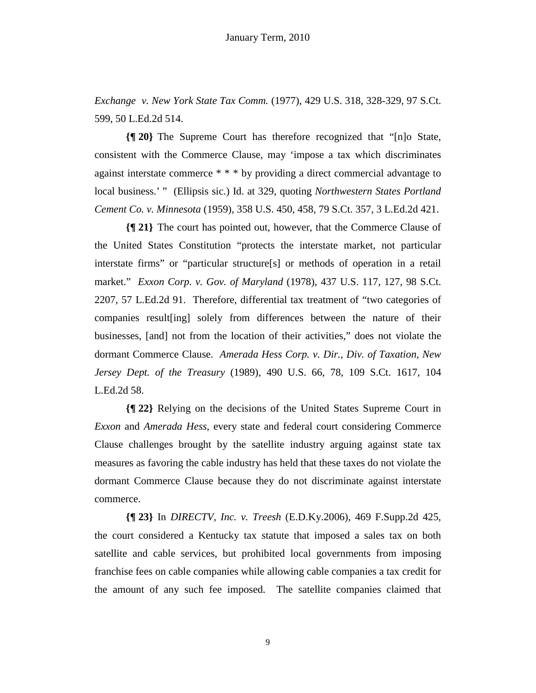*Exchange v. New York State Tax Comm.* (1977), 429 U.S. 318, 328-329, 97 S.Ct. 599, 50 L.Ed.2d 514.

**{¶ 20}** The Supreme Court has therefore recognized that "[n]o State, consistent with the Commerce Clause, may 'impose a tax which discriminates against interstate commerce \* \* \* by providing a direct commercial advantage to local business.' " (Ellipsis sic.) Id. at 329, quoting *Northwestern States Portland Cement Co. v. Minnesota* (1959), 358 U.S. 450, 458, 79 S.Ct. 357, 3 L.Ed.2d 421.

**{¶ 21}** The court has pointed out, however, that the Commerce Clause of the United States Constitution "protects the interstate market, not particular interstate firms" or "particular structure[s] or methods of operation in a retail market." *Exxon Corp. v. Gov. of Maryland* (1978), 437 U.S. 117, 127, 98 S.Ct. 2207, 57 L.Ed.2d 91. Therefore, differential tax treatment of "two categories of companies result[ing] solely from differences between the nature of their businesses, [and] not from the location of their activities," does not violate the dormant Commerce Clause. *Amerada Hess Corp. v. Dir., Div. of Taxation, New Jersey Dept. of the Treasury* (1989), 490 U.S. 66, 78, 109 S.Ct. 1617, 104 L.Ed.2d 58.

**{¶ 22}** Relying on the decisions of the United States Supreme Court in *Exxon* and *Amerada Hess*, every state and federal court considering Commerce Clause challenges brought by the satellite industry arguing against state tax measures as favoring the cable industry has held that these taxes do not violate the dormant Commerce Clause because they do not discriminate against interstate commerce.

**{¶ 23}** In *DIRECTV, Inc. v. Treesh* (E.D.Ky.2006), 469 F.Supp.2d 425, the court considered a Kentucky tax statute that imposed a sales tax on both satellite and cable services, but prohibited local governments from imposing franchise fees on cable companies while allowing cable companies a tax credit for the amount of any such fee imposed. The satellite companies claimed that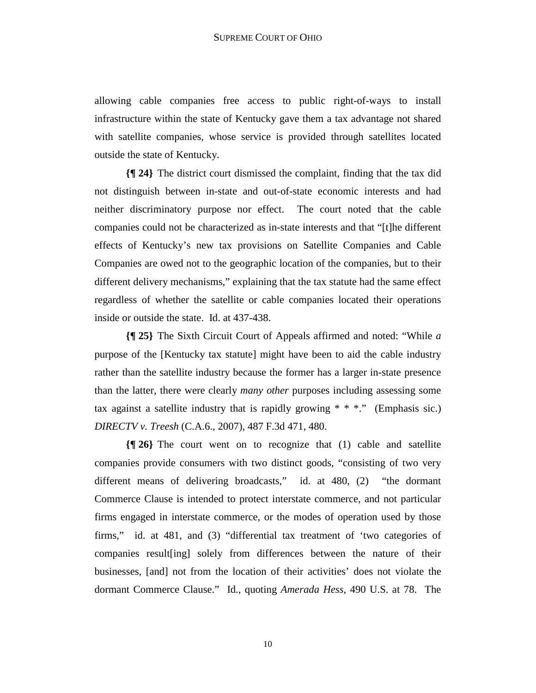allowing cable companies free access to public right-of-ways to install infrastructure within the state of Kentucky gave them a tax advantage not shared with satellite companies, whose service is provided through satellites located outside the state of Kentucky.

**{¶ 24}** The district court dismissed the complaint, finding that the tax did not distinguish between in-state and out-of-state economic interests and had neither discriminatory purpose nor effect. The court noted that the cable companies could not be characterized as in-state interests and that "[t]he different effects of Kentucky's new tax provisions on Satellite Companies and Cable Companies are owed not to the geographic location of the companies, but to their different delivery mechanisms," explaining that the tax statute had the same effect regardless of whether the satellite or cable companies located their operations inside or outside the state. Id. at 437-438.

**{¶ 25}** The Sixth Circuit Court of Appeals affirmed and noted: "While *a* purpose of the [Kentucky tax statute] might have been to aid the cable industry rather than the satellite industry because the former has a larger in-state presence than the latter, there were clearly *many other* purposes including assessing some tax against a satellite industry that is rapidly growing  $* * *$ ." (Emphasis sic.) *DIRECTV v. Treesh* (C.A.6., 2007), 487 F.3d 471, 480.

**{¶ 26}** The court went on to recognize that (1) cable and satellite companies provide consumers with two distinct goods, "consisting of two very different means of delivering broadcasts," id. at 480, (2) "the dormant Commerce Clause is intended to protect interstate commerce, and not particular firms engaged in interstate commerce, or the modes of operation used by those firms," id. at 481, and (3) "differential tax treatment of 'two categories of companies result[ing] solely from differences between the nature of their businesses, [and] not from the location of their activities' does not violate the dormant Commerce Clause." Id., quoting *Amerada Hess*, 490 U.S. at 78. The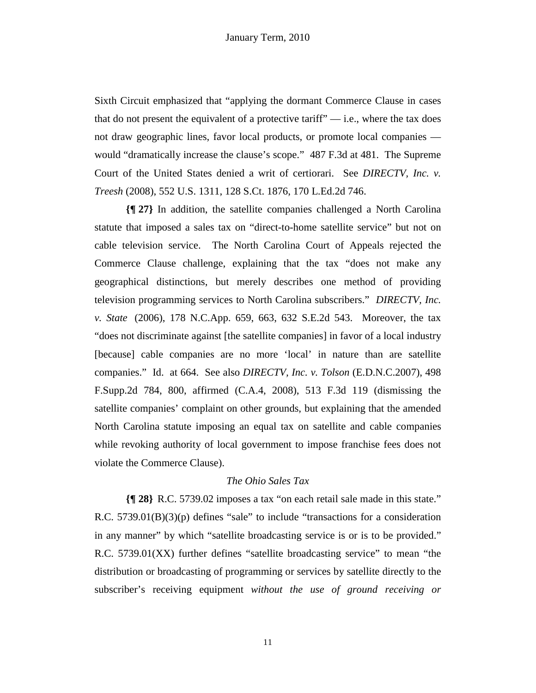Sixth Circuit emphasized that "applying the dormant Commerce Clause in cases that do not present the equivalent of a protective tariff"  $-$  i.e., where the tax does not draw geographic lines, favor local products, or promote local companies would "dramatically increase the clause's scope." 487 F.3d at 481. The Supreme Court of the United States denied a writ of certiorari. See *DIRECTV, Inc. v. Treesh* (2008), 552 U.S. 1311, 128 S.Ct. 1876, 170 L.Ed.2d 746.

**{¶ 27}** In addition, the satellite companies challenged a North Carolina statute that imposed a sales tax on "direct-to-home satellite service" but not on cable television service. The North Carolina Court of Appeals rejected the Commerce Clause challenge, explaining that the tax "does not make any geographical distinctions, but merely describes one method of providing television programming services to North Carolina subscribers." *DIRECTV, Inc. v. State* (2006), 178 N.C.App. 659, 663, 632 S.E.2d 543. Moreover, the tax "does not discriminate against [the satellite companies] in favor of a local industry [because] cable companies are no more 'local' in nature than are satellite companies." Id. at 664. See also *DIRECTV, Inc. v. Tolson* (E.D.N.C.2007), 498 F.Supp.2d 784, 800, affirmed (C.A.4, 2008), 513 F.3d 119 (dismissing the satellite companies' complaint on other grounds, but explaining that the amended North Carolina statute imposing an equal tax on satellite and cable companies while revoking authority of local government to impose franchise fees does not violate the Commerce Clause).

# *The Ohio Sales Tax*

**{¶ 28}** R.C. 5739.02 imposes a tax "on each retail sale made in this state." R.C. 5739.01(B)(3)(p) defines "sale" to include "transactions for a consideration in any manner" by which "satellite broadcasting service is or is to be provided." R.C. 5739.01(XX) further defines "satellite broadcasting service" to mean "the distribution or broadcasting of programming or services by satellite directly to the subscriber's receiving equipment *without the use of ground receiving or*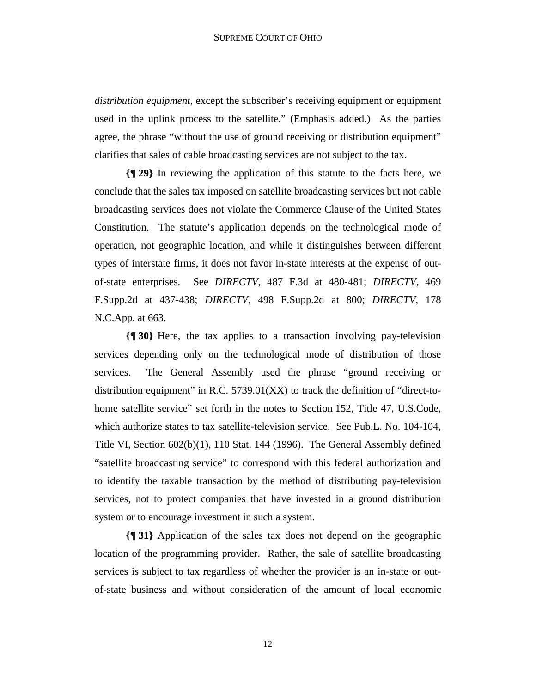*distribution equipment*, except the subscriber's receiving equipment or equipment used in the uplink process to the satellite." (Emphasis added.) As the parties agree, the phrase "without the use of ground receiving or distribution equipment" clarifies that sales of cable broadcasting services are not subject to the tax.

**{¶ 29}** In reviewing the application of this statute to the facts here, we conclude that the sales tax imposed on satellite broadcasting services but not cable broadcasting services does not violate the Commerce Clause of the United States Constitution. The statute's application depends on the technological mode of operation, not geographic location, and while it distinguishes between different types of interstate firms, it does not favor in-state interests at the expense of outof-state enterprises. See *DIRECTV*, 487 F.3d at 480-481; *DIRECTV*, 469 F.Supp.2d at 437-438; *DIRECTV*, 498 F.Supp.2d at 800; *DIRECTV*, 178 N.C.App. at 663.

**{¶ 30}** Here, the tax applies to a transaction involving pay-television services depending only on the technological mode of distribution of those services. The General Assembly used the phrase "ground receiving or distribution equipment" in R.C.  $5739.01(XX)$  to track the definition of "direct-tohome satellite service" set forth in the notes to Section 152, Title 47, U.S.Code, which authorize states to tax satellite-television service. See Pub.L. No. 104-104, Title VI, Section 602(b)(1), 110 Stat. 144 (1996). The General Assembly defined "satellite broadcasting service" to correspond with this federal authorization and to identify the taxable transaction by the method of distributing pay-television services, not to protect companies that have invested in a ground distribution system or to encourage investment in such a system.

**{¶ 31}** Application of the sales tax does not depend on the geographic location of the programming provider. Rather, the sale of satellite broadcasting services is subject to tax regardless of whether the provider is an in-state or outof-state business and without consideration of the amount of local economic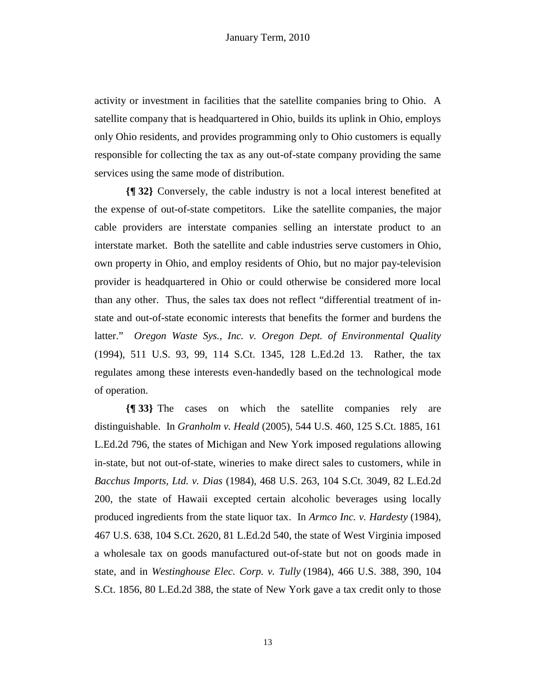activity or investment in facilities that the satellite companies bring to Ohio. A satellite company that is headquartered in Ohio, builds its uplink in Ohio, employs only Ohio residents, and provides programming only to Ohio customers is equally responsible for collecting the tax as any out-of-state company providing the same services using the same mode of distribution.

**{¶ 32}** Conversely, the cable industry is not a local interest benefited at the expense of out-of-state competitors. Like the satellite companies, the major cable providers are interstate companies selling an interstate product to an interstate market. Both the satellite and cable industries serve customers in Ohio, own property in Ohio, and employ residents of Ohio, but no major pay-television provider is headquartered in Ohio or could otherwise be considered more local than any other. Thus, the sales tax does not reflect "differential treatment of instate and out-of-state economic interests that benefits the former and burdens the latter." *Oregon Waste Sys., Inc. v. Oregon Dept. of Environmental Quality*  (1994), 511 U.S. 93, 99, 114 S.Ct. 1345, 128 L.Ed.2d 13. Rather, the tax regulates among these interests even-handedly based on the technological mode of operation.

**{¶ 33}** The cases on which the satellite companies rely are distinguishable. In *Granholm v. Heald* (2005), 544 U.S. 460, 125 S.Ct. 1885, 161 L.Ed.2d 796, the states of Michigan and New York imposed regulations allowing in-state, but not out-of-state, wineries to make direct sales to customers, while in *Bacchus Imports, Ltd. v. Dias* (1984), 468 U.S. 263, 104 S.Ct. 3049, 82 L.Ed.2d 200, the state of Hawaii excepted certain alcoholic beverages using locally produced ingredients from the state liquor tax. In *Armco Inc. v. Hardesty* (1984), 467 U.S. 638, 104 S.Ct. 2620, 81 L.Ed.2d 540, the state of West Virginia imposed a wholesale tax on goods manufactured out-of-state but not on goods made in state, and in *Westinghouse Elec. Corp. v. Tully* (1984), 466 U.S. 388, 390, 104 S.Ct. 1856, 80 L.Ed.2d 388, the state of New York gave a tax credit only to those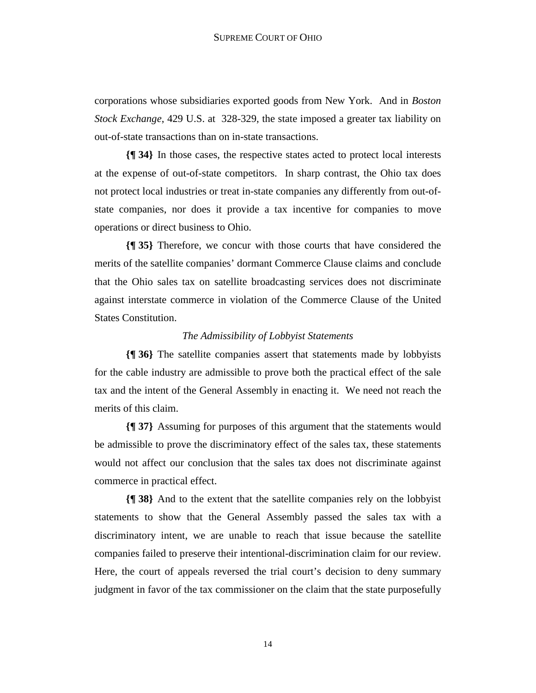corporations whose subsidiaries exported goods from New York. And in *Boston Stock Exchange*, 429 U.S. at 328-329, the state imposed a greater tax liability on out-of-state transactions than on in-state transactions.

**{¶ 34}** In those cases, the respective states acted to protect local interests at the expense of out-of-state competitors. In sharp contrast, the Ohio tax does not protect local industries or treat in-state companies any differently from out-ofstate companies, nor does it provide a tax incentive for companies to move operations or direct business to Ohio.

**{¶ 35}** Therefore, we concur with those courts that have considered the merits of the satellite companies' dormant Commerce Clause claims and conclude that the Ohio sales tax on satellite broadcasting services does not discriminate against interstate commerce in violation of the Commerce Clause of the United States Constitution.

#### *The Admissibility of Lobbyist Statements*

**{¶ 36}** The satellite companies assert that statements made by lobbyists for the cable industry are admissible to prove both the practical effect of the sale tax and the intent of the General Assembly in enacting it. We need not reach the merits of this claim.

**{¶ 37}** Assuming for purposes of this argument that the statements would be admissible to prove the discriminatory effect of the sales tax, these statements would not affect our conclusion that the sales tax does not discriminate against commerce in practical effect.

**{¶ 38}** And to the extent that the satellite companies rely on the lobbyist statements to show that the General Assembly passed the sales tax with a discriminatory intent, we are unable to reach that issue because the satellite companies failed to preserve their intentional-discrimination claim for our review. Here, the court of appeals reversed the trial court's decision to deny summary judgment in favor of the tax commissioner on the claim that the state purposefully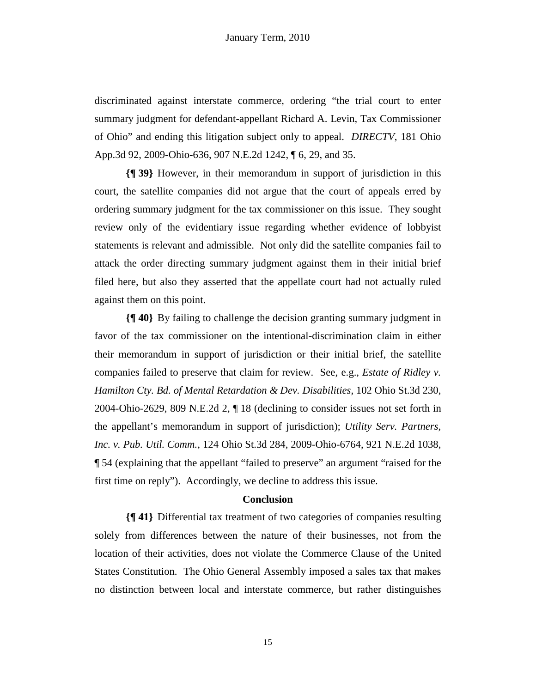discriminated against interstate commerce, ordering "the trial court to enter summary judgment for defendant-appellant Richard A. Levin, Tax Commissioner of Ohio" and ending this litigation subject only to appeal. *DIRECTV*, 181 Ohio App.3d 92, 2009-Ohio-636, 907 N.E.2d 1242, ¶ 6, 29, and 35.

**{¶ 39}** However, in their memorandum in support of jurisdiction in this court, the satellite companies did not argue that the court of appeals erred by ordering summary judgment for the tax commissioner on this issue. They sought review only of the evidentiary issue regarding whether evidence of lobbyist statements is relevant and admissible. Not only did the satellite companies fail to attack the order directing summary judgment against them in their initial brief filed here, but also they asserted that the appellate court had not actually ruled against them on this point.

**{¶ 40}** By failing to challenge the decision granting summary judgment in favor of the tax commissioner on the intentional-discrimination claim in either their memorandum in support of jurisdiction or their initial brief, the satellite companies failed to preserve that claim for review. See, e.g., *Estate of Ridley v. Hamilton Cty. Bd. of Mental Retardation & Dev. Disabilities*, 102 Ohio St.3d 230, 2004-Ohio-2629, 809 N.E.2d 2, ¶ 18 (declining to consider issues not set forth in the appellant's memorandum in support of jurisdiction); *Utility Serv. Partners, Inc. v. Pub. Util. Comm.*, 124 Ohio St.3d 284, 2009-Ohio-6764, 921 N.E.2d 1038, ¶ 54 (explaining that the appellant "failed to preserve" an argument "raised for the first time on reply"). Accordingly, we decline to address this issue.

#### **Conclusion**

**{¶ 41}** Differential tax treatment of two categories of companies resulting solely from differences between the nature of their businesses, not from the location of their activities, does not violate the Commerce Clause of the United States Constitution. The Ohio General Assembly imposed a sales tax that makes no distinction between local and interstate commerce, but rather distinguishes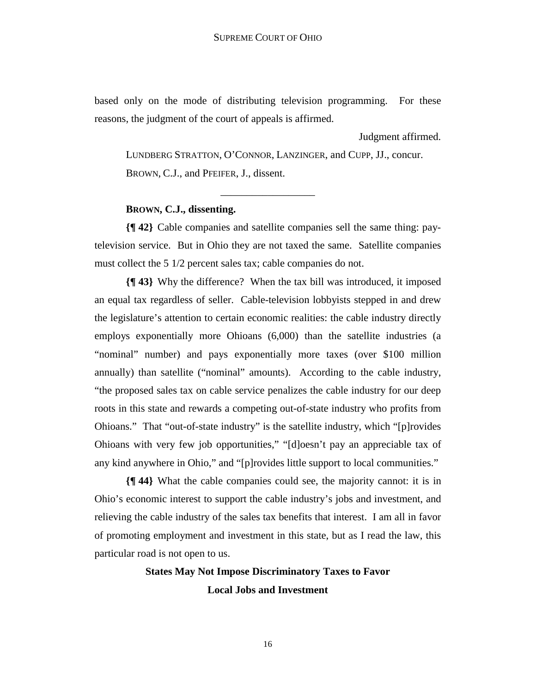based only on the mode of distributing television programming. For these reasons, the judgment of the court of appeals is affirmed.

Judgment affirmed.

LUNDBERG STRATTON, O'CONNOR, LANZINGER, and CUPP, JJ., concur. BROWN, C.J., and PFEIFER, J., dissent.

\_\_\_\_\_\_\_\_\_\_\_\_\_\_\_\_\_\_

# **BROWN, C.J., dissenting.**

**{¶ 42}** Cable companies and satellite companies sell the same thing: paytelevision service. But in Ohio they are not taxed the same. Satellite companies must collect the 5 1/2 percent sales tax; cable companies do not.

**{¶ 43}** Why the difference? When the tax bill was introduced, it imposed an equal tax regardless of seller. Cable-television lobbyists stepped in and drew the legislature's attention to certain economic realities: the cable industry directly employs exponentially more Ohioans (6,000) than the satellite industries (a "nominal" number) and pays exponentially more taxes (over \$100 million annually) than satellite ("nominal" amounts). According to the cable industry, "the proposed sales tax on cable service penalizes the cable industry for our deep roots in this state and rewards a competing out-of-state industry who profits from Ohioans." That "out-of-state industry" is the satellite industry, which "[p]rovides Ohioans with very few job opportunities," "[d]oesn't pay an appreciable tax of any kind anywhere in Ohio," and "[p]rovides little support to local communities."

**{¶ 44}** What the cable companies could see, the majority cannot: it is in Ohio's economic interest to support the cable industry's jobs and investment, and relieving the cable industry of the sales tax benefits that interest. I am all in favor of promoting employment and investment in this state, but as I read the law, this particular road is not open to us.

# **States May Not Impose Discriminatory Taxes to Favor Local Jobs and Investment**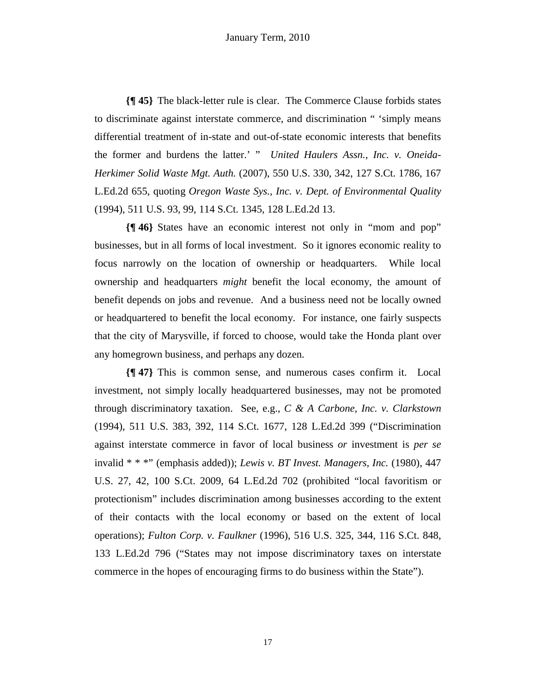**{¶ 45}** The black-letter rule is clear. The Commerce Clause forbids states to discriminate against interstate commerce, and discrimination " 'simply means differential treatment of in-state and out-of-state economic interests that benefits the former and burdens the latter.' " *United Haulers Assn., Inc. v. Oneida-Herkimer Solid Waste Mgt. Auth.* (2007), 550 U.S. 330, 342, 127 S.Ct. 1786, 167 L.Ed.2d 655, quoting *Oregon Waste Sys., Inc. v. Dept. of Environmental Quality*  (1994), 511 U.S. 93, 99, 114 S.Ct. 1345, 128 L.Ed.2d 13.

**{¶ 46}** States have an economic interest not only in "mom and pop" businesses, but in all forms of local investment. So it ignores economic reality to focus narrowly on the location of ownership or headquarters. While local ownership and headquarters *might* benefit the local economy, the amount of benefit depends on jobs and revenue. And a business need not be locally owned or headquartered to benefit the local economy. For instance, one fairly suspects that the city of Marysville, if forced to choose, would take the Honda plant over any homegrown business, and perhaps any dozen.

**{¶ 47}** This is common sense, and numerous cases confirm it. Local investment, not simply locally headquartered businesses, may not be promoted through discriminatory taxation. See, e.g., *C & A Carbone, Inc. v. Clarkstown*  (1994), 511 U.S. 383, 392, 114 S.Ct. 1677, 128 L.Ed.2d 399 ("Discrimination against interstate commerce in favor of local business *or* investment is *per se* invalid \* \* \*" (emphasis added)); *Lewis v. BT Invest. Managers, Inc.* (1980), 447 U.S. 27, 42, 100 S.Ct. 2009, 64 L.Ed.2d 702 (prohibited "local favoritism or protectionism" includes discrimination among businesses according to the extent of their contacts with the local economy or based on the extent of local operations); *Fulton Corp. v. Faulkner* (1996), 516 U.S. 325, 344, 116 S.Ct. 848, 133 L.Ed.2d 796 ("States may not impose discriminatory taxes on interstate commerce in the hopes of encouraging firms to do business within the State").

17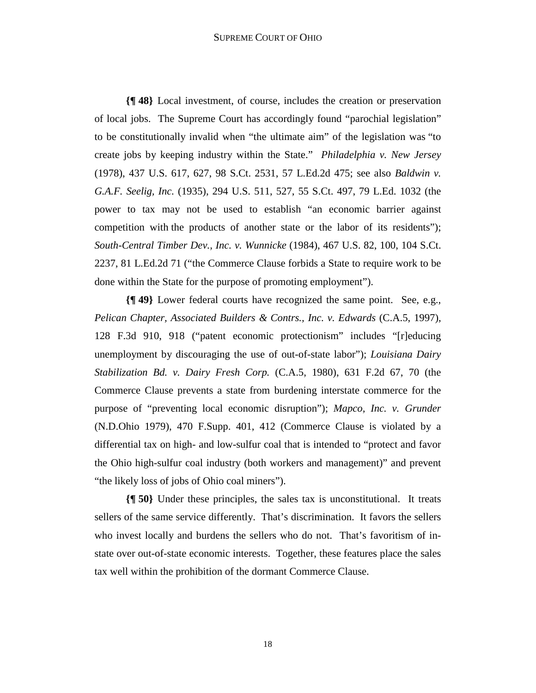#### SUPREME COURT OF OHIO

**{¶ 48}** Local investment, of course, includes the creation or preservation of local jobs. The Supreme Court has accordingly found "parochial legislation" to be constitutionally invalid when "the ultimate aim" of the legislation was "to create jobs by keeping industry within the State." *Philadelphia v. New Jersey* (1978), 437 U.S. 617, 627, 98 S.Ct. 2531, 57 L.Ed.2d 475; see also *Baldwin v. G.A.F. Seelig, Inc.* (1935), 294 U.S. 511, 527, 55 S.Ct. 497, 79 L.Ed. 1032 (the power to tax may not be used to establish "an economic barrier against competition with the products of another state or the labor of its residents"); *South-Central Timber Dev., Inc. v. Wunnicke* (1984), 467 U.S. 82, 100, 104 S.Ct. 2237, 81 L.Ed.2d 71 ("the Commerce Clause forbids a State to require work to be done within the State for the purpose of promoting employment").

**{¶ 49}** Lower federal courts have recognized the same point. See, e.g., *Pelican Chapter, Associated Builders & Contrs., Inc. v. Edwards* (C.A.5, 1997), 128 F.3d 910, 918 ("patent economic protectionism" includes "[r]educing unemployment by discouraging the use of out-of-state labor"); *Louisiana Dairy Stabilization Bd. v. Dairy Fresh Corp.* (C.A.5, 1980), 631 F.2d 67, 70 (the Commerce Clause prevents a state from burdening interstate commerce for the purpose of "preventing local economic disruption"); *Mapco, Inc. v. Grunder* (N.D.Ohio 1979), 470 F.Supp. 401, 412 (Commerce Clause is violated by a differential tax on high- and low-sulfur coal that is intended to "protect and favor the Ohio high-sulfur coal industry (both workers and management)" and prevent "the likely loss of jobs of Ohio coal miners").

**{¶ 50}** Under these principles, the sales tax is unconstitutional. It treats sellers of the same service differently. That's discrimination. It favors the sellers who invest locally and burdens the sellers who do not. That's favoritism of instate over out-of-state economic interests. Together, these features place the sales tax well within the prohibition of the dormant Commerce Clause.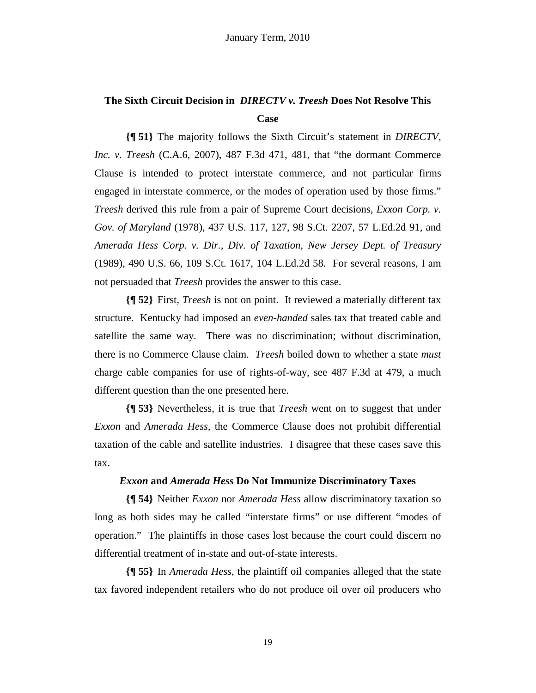# **The Sixth Circuit Decision in** *DIRECTV v. Treesh* **Does Not Resolve This Case**

**{¶ 51}** The majority follows the Sixth Circuit's statement in *DIRECTV, Inc. v. Treesh* (C.A.6, 2007), 487 F.3d 471, 481, that "the dormant Commerce Clause is intended to protect interstate commerce, and not particular firms engaged in interstate commerce, or the modes of operation used by those firms." *Treesh* derived this rule from a pair of Supreme Court decisions, *Exxon Corp. v. Gov. of Maryland* (1978), 437 U.S. 117, 127, 98 S.Ct. 2207, 57 L.Ed.2d 91, and *Amerada Hess Corp. v. Dir., Div. of Taxation, New Jersey Dept. of Treasury* (1989), 490 U.S. 66, 109 S.Ct. 1617, 104 L.Ed.2d 58. For several reasons, I am not persuaded that *Treesh* provides the answer to this case.

**{¶ 52}** First, *Treesh* is not on point. It reviewed a materially different tax structure. Kentucky had imposed an *even-handed* sales tax that treated cable and satellite the same way. There was no discrimination; without discrimination, there is no Commerce Clause claim. *Treesh* boiled down to whether a state *must* charge cable companies for use of rights-of-way, see 487 F.3d at 479, a much different question than the one presented here.

**{¶ 53}** Nevertheless, it is true that *Treesh* went on to suggest that under *Exxon* and *Amerada Hess,* the Commerce Clause does not prohibit differential taxation of the cable and satellite industries. I disagree that these cases save this tax.

# *Exxon* **and** *Amerada Hess* **Do Not Immunize Discriminatory Taxes**

**{¶ 54}** Neither *Exxon* nor *Amerada Hess* allow discriminatory taxation so long as both sides may be called "interstate firms" or use different "modes of operation." The plaintiffs in those cases lost because the court could discern no differential treatment of in-state and out-of-state interests.

**{¶ 55}** In *Amerada Hess*, the plaintiff oil companies alleged that the state tax favored independent retailers who do not produce oil over oil producers who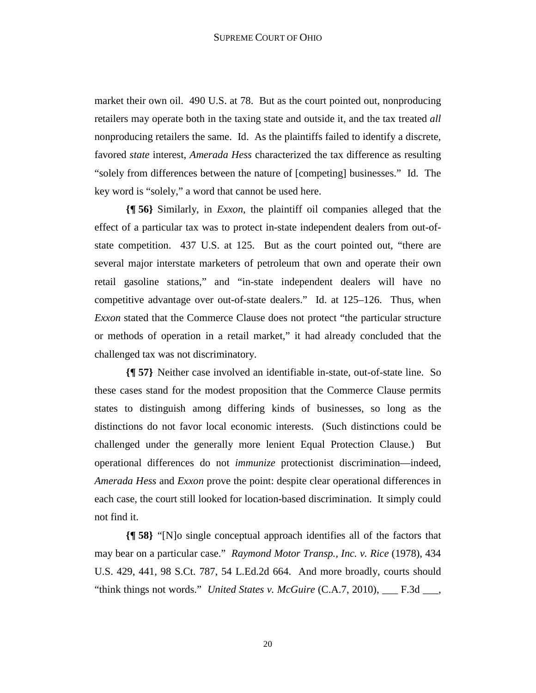market their own oil. 490 U.S. at 78. But as the court pointed out, nonproducing retailers may operate both in the taxing state and outside it, and the tax treated *all* nonproducing retailers the same. Id. As the plaintiffs failed to identify a discrete, favored *state* interest, *Amerada Hess* characterized the tax difference as resulting "solely from differences between the nature of [competing] businesses." Id. The key word is "solely," a word that cannot be used here.

**{¶ 56}** Similarly, in *Exxon*, the plaintiff oil companies alleged that the effect of a particular tax was to protect in-state independent dealers from out-ofstate competition. 437 U.S. at 125. But as the court pointed out, "there are several major interstate marketers of petroleum that own and operate their own retail gasoline stations," and "in-state independent dealers will have no competitive advantage over out-of-state dealers." Id. at 125–126. Thus, when *Exxon* stated that the Commerce Clause does not protect "the particular structure or methods of operation in a retail market," it had already concluded that the challenged tax was not discriminatory.

**{¶ 57}** Neither case involved an identifiable in-state, out-of-state line. So these cases stand for the modest proposition that the Commerce Clause permits states to distinguish among differing kinds of businesses, so long as the distinctions do not favor local economic interests. (Such distinctions could be challenged under the generally more lenient Equal Protection Clause.) But operational differences do not *immunize* protectionist discrimination—indeed, *Amerada Hess* and *Exxon* prove the point: despite clear operational differences in each case, the court still looked for location-based discrimination. It simply could not find it.

**{¶ 58}** "[N]o single conceptual approach identifies all of the factors that may bear on a particular case." *Raymond Motor Transp., Inc. v. Rice* (1978), 434 U.S. 429, 441, 98 S.Ct. 787, 54 L.Ed.2d 664. And more broadly, courts should "think things not words." *United States v. McGuire* (C.A.7, 2010), \_\_\_ F.3d \_\_\_,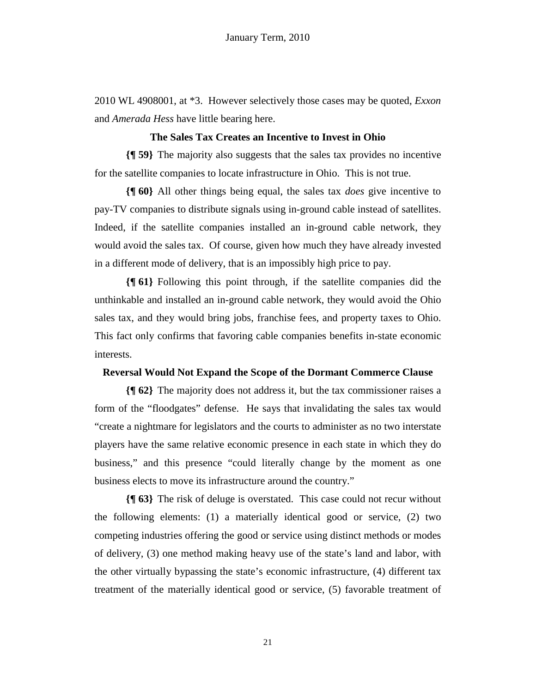2010 WL 4908001, at \*3. However selectively those cases may be quoted, *Exxon* and *Amerada Hess* have little bearing here.

# **The Sales Tax Creates an Incentive to Invest in Ohio**

**{¶ 59}** The majority also suggests that the sales tax provides no incentive for the satellite companies to locate infrastructure in Ohio. This is not true.

**{¶ 60}** All other things being equal, the sales tax *does* give incentive to pay-TV companies to distribute signals using in-ground cable instead of satellites. Indeed, if the satellite companies installed an in-ground cable network, they would avoid the sales tax. Of course, given how much they have already invested in a different mode of delivery, that is an impossibly high price to pay.

**{¶ 61}** Following this point through, if the satellite companies did the unthinkable and installed an in-ground cable network, they would avoid the Ohio sales tax, and they would bring jobs, franchise fees, and property taxes to Ohio. This fact only confirms that favoring cable companies benefits in-state economic interests.

# **Reversal Would Not Expand the Scope of the Dormant Commerce Clause**

**{¶ 62}** The majority does not address it, but the tax commissioner raises a form of the "floodgates" defense. He says that invalidating the sales tax would "create a nightmare for legislators and the courts to administer as no two interstate players have the same relative economic presence in each state in which they do business," and this presence "could literally change by the moment as one business elects to move its infrastructure around the country."

**{¶ 63}** The risk of deluge is overstated. This case could not recur without the following elements: (1) a materially identical good or service, (2) two competing industries offering the good or service using distinct methods or modes of delivery, (3) one method making heavy use of the state's land and labor, with the other virtually bypassing the state's economic infrastructure, (4) different tax treatment of the materially identical good or service, (5) favorable treatment of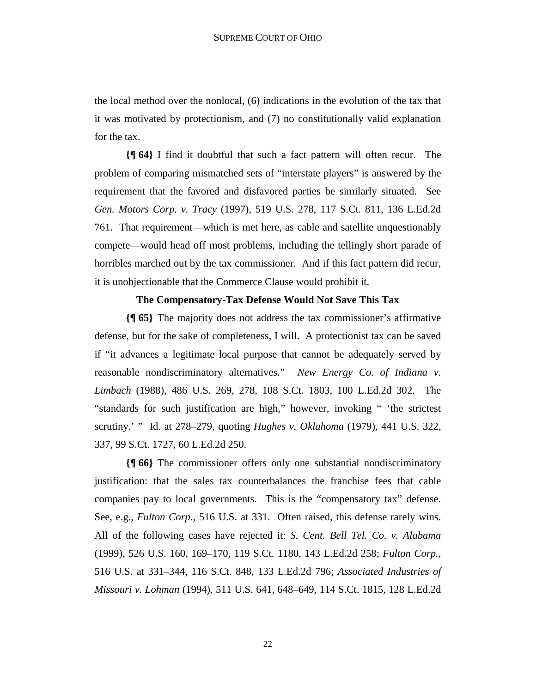the local method over the nonlocal, (6) indications in the evolution of the tax that it was motivated by protectionism, and (7) no constitutionally valid explanation for the tax.

**{¶ 64}** I find it doubtful that such a fact pattern will often recur. The problem of comparing mismatched sets of "interstate players" is answered by the requirement that the favored and disfavored parties be similarly situated. See *Gen. Motors Corp. v. Tracy* (1997), 519 U.S. 278, 117 S.Ct. 811, 136 L.Ed.2d 761. That requirement—which is met here, as cable and satellite unquestionably compete—would head off most problems, including the tellingly short parade of horribles marched out by the tax commissioner. And if this fact pattern did recur, it is unobjectionable that the Commerce Clause would prohibit it.

# **The Compensatory-Tax Defense Would Not Save This Tax**

**{¶ 65}** The majority does not address the tax commissioner's affirmative defense, but for the sake of completeness, I will. A protectionist tax can be saved if "it advances a legitimate local purpose that cannot be adequately served by reasonable nondiscriminatory alternatives." *New Energy Co. of Indiana v. Limbach* (1988), 486 U.S. 269, 278, 108 S.Ct. 1803, 100 L.Ed.2d 302. The "standards for such justification are high," however, invoking " 'the strictest scrutiny.' " Id. at 278–279, quoting *Hughes v. Oklahoma* (1979), 441 U.S. 322, 337, 99 S.Ct. 1727, 60 L.Ed.2d 250.

**{¶ 66}** The commissioner offers only one substantial nondiscriminatory justification: that the sales tax counterbalances the franchise fees that cable companies pay to local governments. This is the "compensatory tax" defense. See, e.g., *Fulton Corp.,* 516 U.S. at 331. Often raised, this defense rarely wins. All of the following cases have rejected it: *S. Cent. Bell Tel. Co. v. Alabama* (1999), 526 U.S. 160, 169–170, 119 S.Ct. 1180, 143 L.Ed.2d 258; *Fulton Corp.*, 516 U.S. at 331–344, 116 S.Ct. 848, 133 L.Ed.2d 796; *Associated Industries of Missouri v. Lohman* (1994), 511 U.S. 641, 648–649, 114 S.Ct. 1815, 128 L.Ed.2d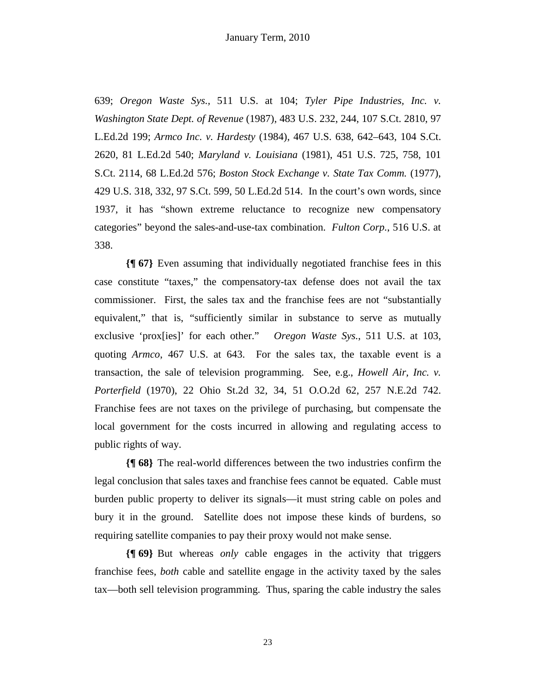639; *Oregon Waste Sys.,* 511 U.S. at 104; *Tyler Pipe Industries, Inc. v. Washington State Dept. of Revenue* (1987), 483 U.S. 232, 244, 107 S.Ct. 2810, 97 L.Ed.2d 199; *Armco Inc. v. Hardesty* (1984), 467 U.S. 638, 642–643, 104 S.Ct. 2620, 81 L.Ed.2d 540; *Maryland v. Louisiana* (1981), 451 U.S. 725, 758, 101 S.Ct. 2114, 68 L.Ed.2d 576; *Boston Stock Exchange v. State Tax Comm.* (1977), 429 U.S. 318, 332, 97 S.Ct. 599, 50 L.Ed.2d 514. In the court's own words, since 1937, it has "shown extreme reluctance to recognize new compensatory categories" beyond the sales-and-use-tax combination. *Fulton Corp.*, 516 U.S. at 338.

**{¶ 67}** Even assuming that individually negotiated franchise fees in this case constitute "taxes," the compensatory-tax defense does not avail the tax commissioner. First, the sales tax and the franchise fees are not "substantially equivalent," that is, "sufficiently similar in substance to serve as mutually exclusive 'prox[ies]' for each other." *Oregon Waste Sys.*, 511 U.S. at 103, quoting *Armco*, 467 U.S. at 643. For the sales tax, the taxable event is a transaction, the sale of television programming. See, e.g., *Howell Air, Inc. v. Porterfield* (1970), 22 Ohio St.2d 32, 34, 51 O.O.2d 62, 257 N.E.2d 742. Franchise fees are not taxes on the privilege of purchasing, but compensate the local government for the costs incurred in allowing and regulating access to public rights of way.

**{¶ 68}** The real-world differences between the two industries confirm the legal conclusion that sales taxes and franchise fees cannot be equated. Cable must burden public property to deliver its signals—it must string cable on poles and bury it in the ground. Satellite does not impose these kinds of burdens, so requiring satellite companies to pay their proxy would not make sense.

**{¶ 69}** But whereas *only* cable engages in the activity that triggers franchise fees, *both* cable and satellite engage in the activity taxed by the sales tax—both sell television programming. Thus, sparing the cable industry the sales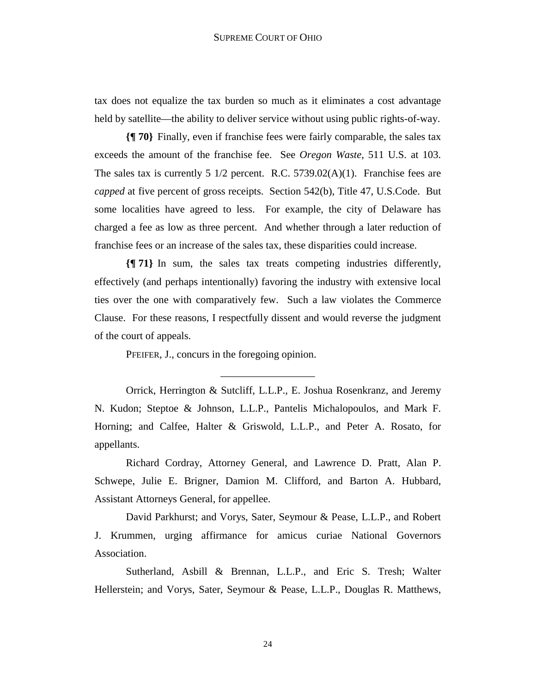tax does not equalize the tax burden so much as it eliminates a cost advantage held by satellite—the ability to deliver service without using public rights-of-way.

**{¶ 70}** Finally, even if franchise fees were fairly comparable, the sales tax exceeds the amount of the franchise fee. See *Oregon Waste*, 511 U.S. at 103. The sales tax is currently 5  $1/2$  percent. R.C. 5739.02(A)(1). Franchise fees are *capped* at five percent of gross receipts. Section 542(b), Title 47, U.S.Code. But some localities have agreed to less. For example, the city of Delaware has charged a fee as low as three percent. And whether through a later reduction of franchise fees or an increase of the sales tax, these disparities could increase.

**{¶ 71}** In sum, the sales tax treats competing industries differently, effectively (and perhaps intentionally) favoring the industry with extensive local ties over the one with comparatively few. Such a law violates the Commerce Clause. For these reasons, I respectfully dissent and would reverse the judgment of the court of appeals.

PFEIFER, J., concurs in the foregoing opinion.

Orrick, Herrington & Sutcliff, L.L.P., E. Joshua Rosenkranz, and Jeremy N. Kudon; Steptoe & Johnson, L.L.P., Pantelis Michalopoulos, and Mark F. Horning; and Calfee, Halter & Griswold, L.L.P., and Peter A. Rosato, for appellants.

\_\_\_\_\_\_\_\_\_\_\_\_\_\_\_\_\_\_

Richard Cordray, Attorney General, and Lawrence D. Pratt, Alan P. Schwepe, Julie E. Brigner, Damion M. Clifford, and Barton A. Hubbard, Assistant Attorneys General, for appellee.

David Parkhurst; and Vorys, Sater, Seymour & Pease, L.L.P., and Robert J. Krummen, urging affirmance for amicus curiae National Governors Association.

Sutherland, Asbill & Brennan, L.L.P., and Eric S. Tresh; Walter Hellerstein; and Vorys, Sater, Seymour & Pease, L.L.P., Douglas R. Matthews,

24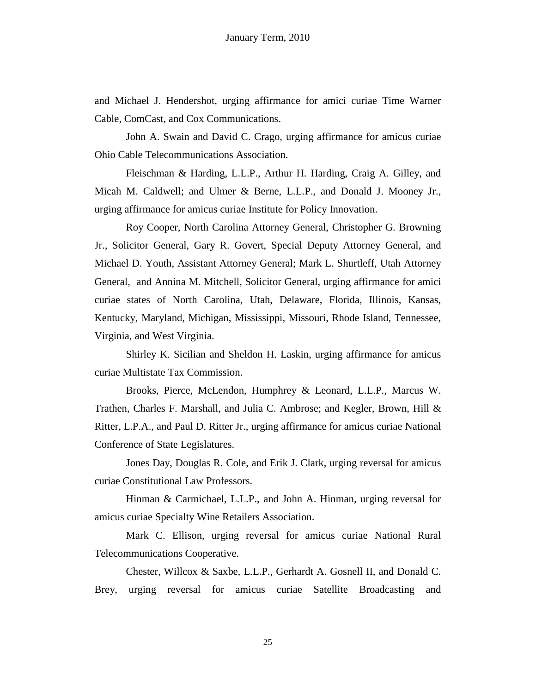and Michael J. Hendershot, urging affirmance for amici curiae Time Warner Cable, ComCast, and Cox Communications.

John A. Swain and David C. Crago, urging affirmance for amicus curiae Ohio Cable Telecommunications Association.

Fleischman & Harding, L.L.P., Arthur H. Harding, Craig A. Gilley, and Micah M. Caldwell; and Ulmer & Berne, L.L.P., and Donald J. Mooney Jr., urging affirmance for amicus curiae Institute for Policy Innovation.

Roy Cooper, North Carolina Attorney General, Christopher G. Browning Jr., Solicitor General, Gary R. Govert, Special Deputy Attorney General, and Michael D. Youth, Assistant Attorney General; Mark L. Shurtleff, Utah Attorney General, and Annina M. Mitchell, Solicitor General, urging affirmance for amici curiae states of North Carolina, Utah, Delaware, Florida, Illinois, Kansas, Kentucky, Maryland, Michigan, Mississippi, Missouri, Rhode Island, Tennessee, Virginia, and West Virginia.

Shirley K. Sicilian and Sheldon H. Laskin, urging affirmance for amicus curiae Multistate Tax Commission.

Brooks, Pierce, McLendon, Humphrey & Leonard, L.L.P., Marcus W. Trathen, Charles F. Marshall, and Julia C. Ambrose; and Kegler, Brown, Hill & Ritter, L.P.A., and Paul D. Ritter Jr., urging affirmance for amicus curiae National Conference of State Legislatures.

Jones Day, Douglas R. Cole, and Erik J. Clark, urging reversal for amicus curiae Constitutional Law Professors.

Hinman & Carmichael, L.L.P., and John A. Hinman, urging reversal for amicus curiae Specialty Wine Retailers Association.

Mark C. Ellison, urging reversal for amicus curiae National Rural Telecommunications Cooperative.

Chester, Willcox & Saxbe, L.L.P., Gerhardt A. Gosnell II, and Donald C. Brey, urging reversal for amicus curiae Satellite Broadcasting and